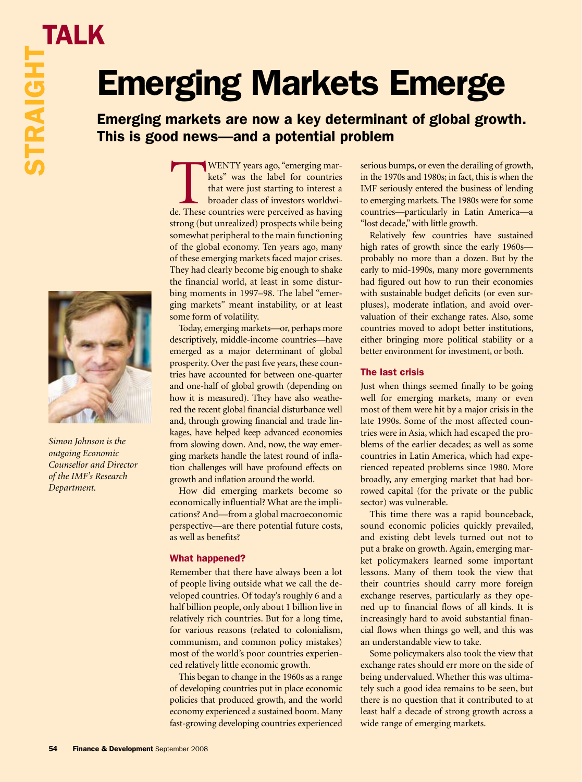# Emerging Markets Emerge

## Emerging markets are now a key determinant of global growth. This is good news—and a potential problem

WENTY years ago, "emerging markets" was the label for countries<br>that were just starting to interest a<br>broader class of investors worldwi-<br>de. These countries were perceived as having kets" was the label for countries that were just starting to interest a broader class of investors worldwistrong (but unrealized) prospects while being somewhat peripheral to the main functioning of the global economy. Ten years ago, many of these emerging markets faced major crises. They had clearly become big enough to shake the financial world, at least in some disturbing moments in 1997–98. The label "emerging markets" meant instability, or at least some form of volatility.

Today, emerging markets—or, perhaps more descriptively, middle-income countries—have emerged as a major determinant of global prosperity. Over the past five years, these countries have accounted for between one-quarter and one-half of global growth (depending on how it is measured). They have also weathered the recent global financial disturbance well and, through growing financial and trade linkages, have helped keep advanced economies from slowing down. And, now, the way emerging markets handle the latest round of inflation challenges will have profound effects on growth and inflation around the world.

How did emerging markets become so economically influential? What are the implications? And—from a global macroeconomic perspective—are there potential future costs, as well as benefits?

#### What happened?

Remember that there have always been a lot of people living outside what we call the developed countries. Of today's roughly 6 and a half billion people, only about 1 billion live in relatively rich countries. But for a long time, for various reasons (related to colonialism, communism, and common policy mistakes) most of the world's poor countries experienced relatively little economic growth.

This began to change in the 1960s as a range of developing countries put in place economic policies that produced growth, and the world economy experienced a sustained boom. Many fast-growing developing countries experienced

serious bumps, or even the derailing of growth, in the 1970s and 1980s; in fact, this is when the IMF seriously entered the business of lending to emerging markets. The 1980s were for some countries—particularly in Latin America—a "lost decade," with little growth.

Relatively few countries have sustained high rates of growth since the early 1960s probably no more than a dozen. But by the early to mid-1990s, many more governments had figured out how to run their economies with sustainable budget deficits (or even surpluses), moderate inflation, and avoid overvaluation of their exchange rates. Also, some countries moved to adopt better institutions, either bringing more political stability or a better environment for investment, or both.

### The last crisis

Just when things seemed finally to be going well for emerging markets, many or even most of them were hit by a major crisis in the late 1990s. Some of the most affected countries were in Asia, which had escaped the problems of the earlier decades; as well as some countries in Latin America, which had experienced repeated problems since 1980. More broadly, any emerging market that had borrowed capital (for the private or the public sector) was vulnerable.

This time there was a rapid bounceback, sound economic policies quickly prevailed, and existing debt levels turned out not to put a brake on growth. Again, emerging market policymakers learned some important lessons. Many of them took the view that their countries should carry more foreign exchange reserves, particularly as they opened up to financial flows of all kinds. It is increasingly hard to avoid substantial financial flows when things go well, and this was an understandable view to take.

Some policymakers also took the view that exchange rates should err more on the side of being undervalued. Whether this was ultimately such a good idea remains to be seen, but there is no question that it contributed to at least half a decade of strong growth across a wide range of emerging markets.



*Simon Johnson is the outgoing Economic Counsellor and Director of the IMF's Research Department.*